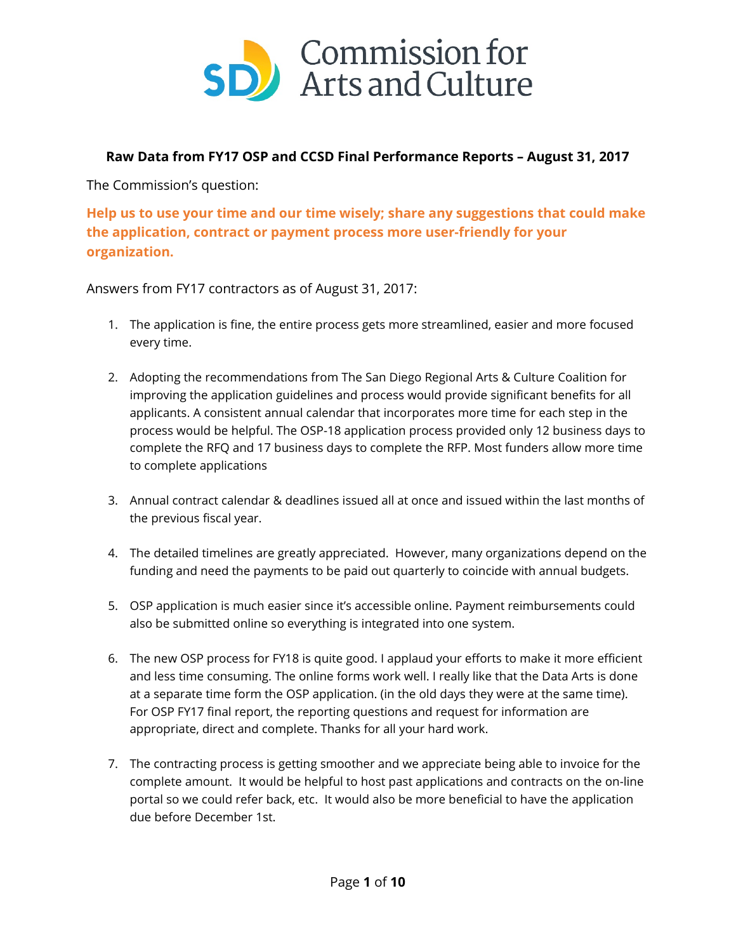

## **Raw Data from FY17 OSP and CCSD Final Performance Reports – August 31, 2017**

The Commission's question:

**Help us to use your time and our time wisely; share any suggestions that could make the application, contract or payment process more user-friendly for your organization.**

Answers from FY17 contractors as of August 31, 2017:

- 1. The application is fine, the entire process gets more streamlined, easier and more focused every time.
- 2. Adopting the recommendations from The San Diego Regional Arts & Culture Coalition for improving the application guidelines and process would provide significant benefits for all applicants. A consistent annual calendar that incorporates more time for each step in the process would be helpful. The OSP-18 application process provided only 12 business days to complete the RFQ and 17 business days to complete the RFP. Most funders allow more time to complete applications
- 3. Annual contract calendar & deadlines issued all at once and issued within the last months of the previous fiscal year.
- 4. The detailed timelines are greatly appreciated. However, many organizations depend on the funding and need the payments to be paid out quarterly to coincide with annual budgets.
- 5. OSP application is much easier since it's accessible online. Payment reimbursements could also be submitted online so everything is integrated into one system.
- 6. The new OSP process for FY18 is quite good. I applaud your efforts to make it more efficient and less time consuming. The online forms work well. I really like that the Data Arts is done at a separate time form the OSP application. (in the old days they were at the same time). For OSP FY17 final report, the reporting questions and request for information are appropriate, direct and complete. Thanks for all your hard work.
- 7. The contracting process is getting smoother and we appreciate being able to invoice for the complete amount. It would be helpful to host past applications and contracts on the on-line portal so we could refer back, etc. It would also be more beneficial to have the application due before December 1st.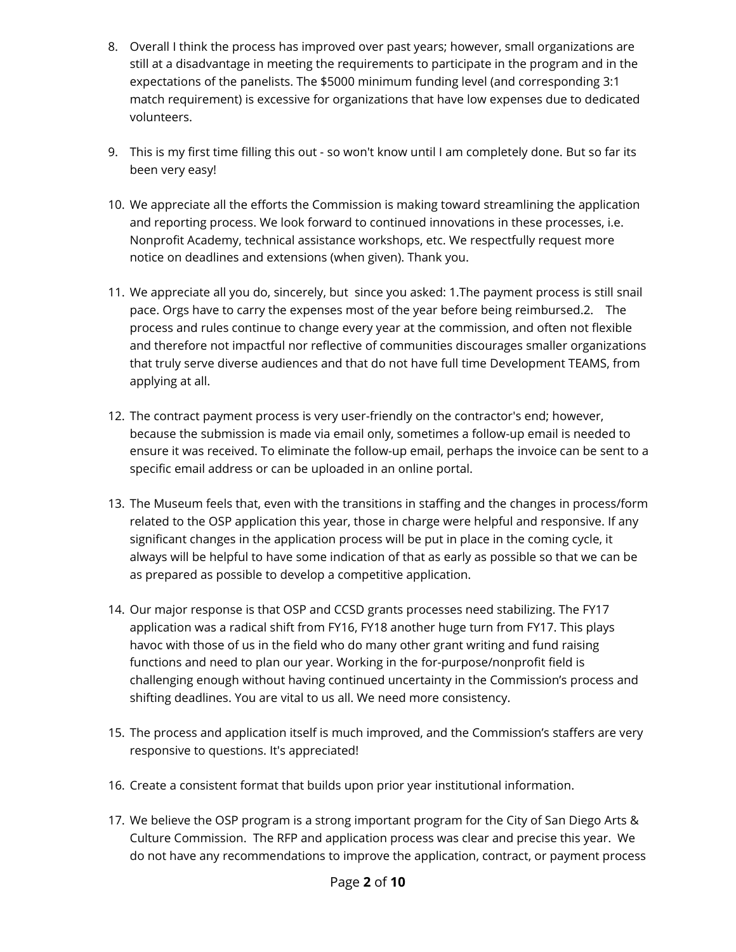- 8. Overall I think the process has improved over past years; however, small organizations are still at a disadvantage in meeting the requirements to participate in the program and in the expectations of the panelists. The \$5000 minimum funding level (and corresponding 3:1 match requirement) is excessive for organizations that have low expenses due to dedicated volunteers.
- 9. This is my first time filling this out so won't know until I am completely done. But so far its been very easy!
- 10. We appreciate all the efforts the Commission is making toward streamlining the application and reporting process. We look forward to continued innovations in these processes, i.e. Nonprofit Academy, technical assistance workshops, etc. We respectfully request more notice on deadlines and extensions (when given). Thank you.
- 11. We appreciate all you do, sincerely, but since you asked: 1.The payment process is still snail pace. Orgs have to carry the expenses most of the year before being reimbursed.2. The process and rules continue to change every year at the commission, and often not flexible and therefore not impactful nor reflective of communities discourages smaller organizations that truly serve diverse audiences and that do not have full time Development TEAMS, from applying at all.
- 12. The contract payment process is very user-friendly on the contractor's end; however, because the submission is made via email only, sometimes a follow-up email is needed to ensure it was received. To eliminate the follow-up email, perhaps the invoice can be sent to a specific email address or can be uploaded in an online portal.
- 13. The Museum feels that, even with the transitions in staffing and the changes in process/form related to the OSP application this year, those in charge were helpful and responsive. If any significant changes in the application process will be put in place in the coming cycle, it always will be helpful to have some indication of that as early as possible so that we can be as prepared as possible to develop a competitive application.
- 14. Our major response is that OSP and CCSD grants processes need stabilizing. The FY17 application was a radical shift from FY16, FY18 another huge turn from FY17. This plays havoc with those of us in the field who do many other grant writing and fund raising functions and need to plan our year. Working in the for-purpose/nonprofit field is challenging enough without having continued uncertainty in the Commission's process and shifting deadlines. You are vital to us all. We need more consistency.
- 15. The process and application itself is much improved, and the Commission's staffers are very responsive to questions. It's appreciated!
- 16. Create a consistent format that builds upon prior year institutional information.
- 17. We believe the OSP program is a strong important program for the City of San Diego Arts & Culture Commission. The RFP and application process was clear and precise this year. We do not have any recommendations to improve the application, contract, or payment process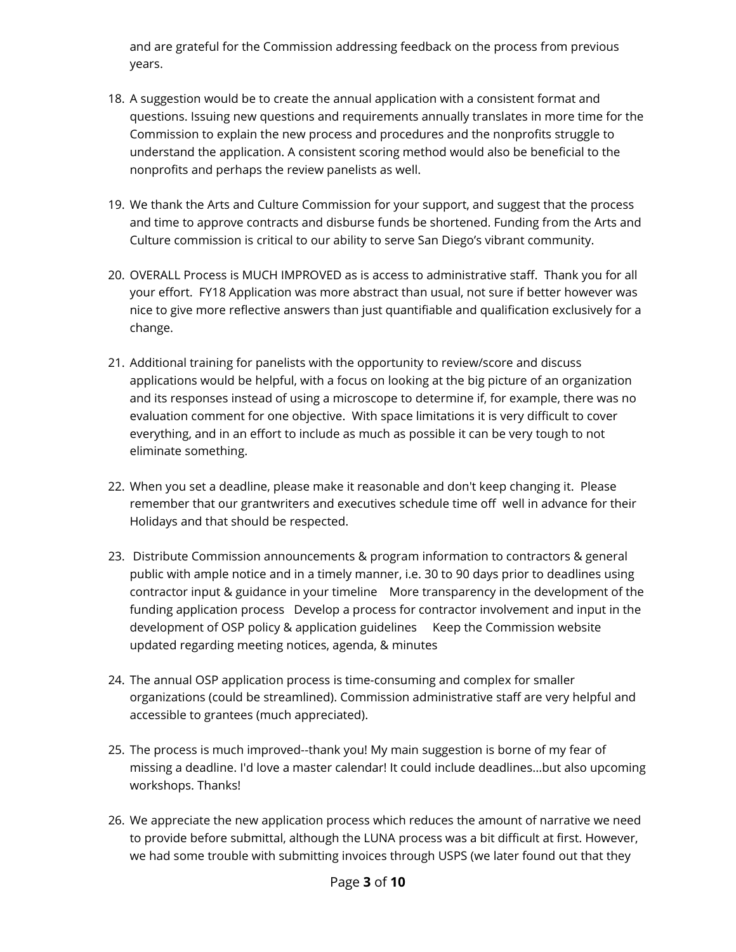and are grateful for the Commission addressing feedback on the process from previous years.

- 18. A suggestion would be to create the annual application with a consistent format and questions. Issuing new questions and requirements annually translates in more time for the Commission to explain the new process and procedures and the nonprofits struggle to understand the application. A consistent scoring method would also be beneficial to the nonprofits and perhaps the review panelists as well.
- 19. We thank the Arts and Culture Commission for your support, and suggest that the process and time to approve contracts and disburse funds be shortened. Funding from the Arts and Culture commission is critical to our ability to serve San Diego's vibrant community.
- 20. OVERALL Process is MUCH IMPROVED as is access to administrative staff. Thank you for all your effort. FY18 Application was more abstract than usual, not sure if better however was nice to give more reflective answers than just quantifiable and qualification exclusively for a change.
- 21. Additional training for panelists with the opportunity to review/score and discuss applications would be helpful, with a focus on looking at the big picture of an organization and its responses instead of using a microscope to determine if, for example, there was no evaluation comment for one objective. With space limitations it is very difficult to cover everything, and in an effort to include as much as possible it can be very tough to not eliminate something.
- 22. When you set a deadline, please make it reasonable and don't keep changing it. Please remember that our grantwriters and executives schedule time off well in advance for their Holidays and that should be respected.
- 23. Distribute Commission announcements & program information to contractors & general public with ample notice and in a timely manner, i.e. 30 to 90 days prior to deadlines using contractor input & guidance in your timeline More transparency in the development of the funding application process Develop a process for contractor involvement and input in the development of OSP policy & application guidelines Keep the Commission website updated regarding meeting notices, agenda, & minutes
- 24. The annual OSP application process is time-consuming and complex for smaller organizations (could be streamlined). Commission administrative staff are very helpful and accessible to grantees (much appreciated).
- 25. The process is much improved--thank you! My main suggestion is borne of my fear of missing a deadline. I'd love a master calendar! It could include deadlines...but also upcoming workshops. Thanks!
- 26. We appreciate the new application process which reduces the amount of narrative we need to provide before submittal, although the LUNA process was a bit difficult at first. However, we had some trouble with submitting invoices through USPS (we later found out that they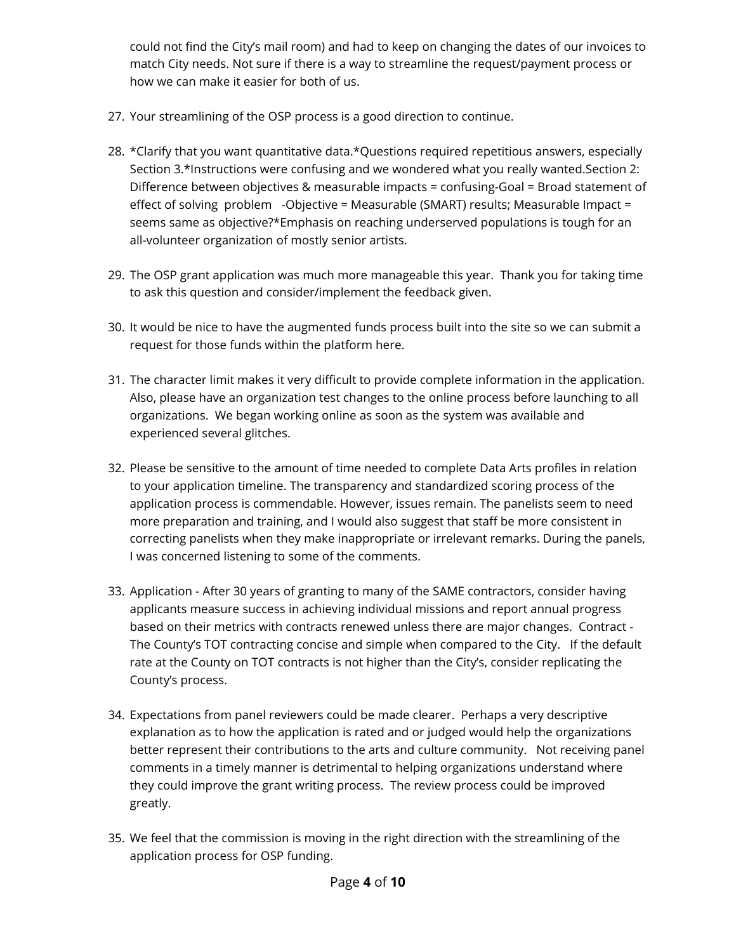could not find the City's mail room) and had to keep on changing the dates of our invoices to match City needs. Not sure if there is a way to streamline the request/payment process or how we can make it easier for both of us.

- 27. Your streamlining of the OSP process is a good direction to continue.
- 28. \*Clarify that you want quantitative data.\*Questions required repetitious answers, especially Section 3.\*Instructions were confusing and we wondered what you really wanted.Section 2: Difference between objectives & measurable impacts = confusing-Goal = Broad statement of effect of solving problem -Objective = Measurable (SMART) results; Measurable Impact = seems same as objective?\*Emphasis on reaching underserved populations is tough for an all-volunteer organization of mostly senior artists.
- 29. The OSP grant application was much more manageable this year. Thank you for taking time to ask this question and consider/implement the feedback given.
- 30. It would be nice to have the augmented funds process built into the site so we can submit a request for those funds within the platform here.
- 31. The character limit makes it very difficult to provide complete information in the application. Also, please have an organization test changes to the online process before launching to all organizations. We began working online as soon as the system was available and experienced several glitches.
- 32. Please be sensitive to the amount of time needed to complete Data Arts profiles in relation to your application timeline. The transparency and standardized scoring process of the application process is commendable. However, issues remain. The panelists seem to need more preparation and training, and I would also suggest that staff be more consistent in correcting panelists when they make inappropriate or irrelevant remarks. During the panels, I was concerned listening to some of the comments.
- 33. Application After 30 years of granting to many of the SAME contractors, consider having applicants measure success in achieving individual missions and report annual progress based on their metrics with contracts renewed unless there are major changes. Contract - The County's TOT contracting concise and simple when compared to the City. If the default rate at the County on TOT contracts is not higher than the City's, consider replicating the County's process.
- 34. Expectations from panel reviewers could be made clearer. Perhaps a very descriptive explanation as to how the application is rated and or judged would help the organizations better represent their contributions to the arts and culture community. Not receiving panel comments in a timely manner is detrimental to helping organizations understand where they could improve the grant writing process. The review process could be improved greatly.
- 35. We feel that the commission is moving in the right direction with the streamlining of the application process for OSP funding.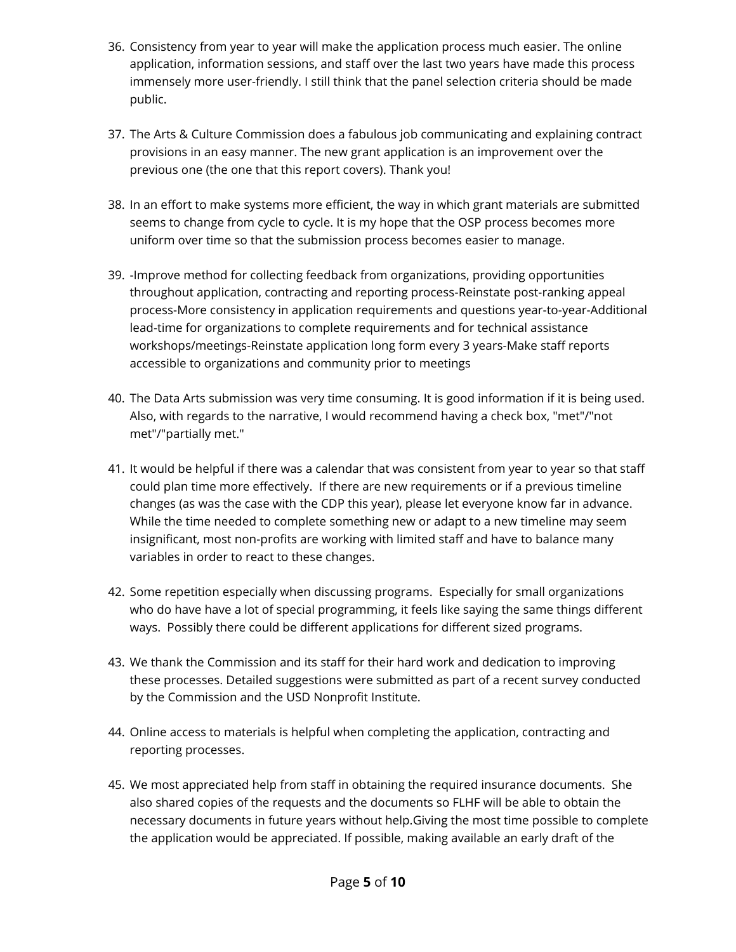- 36. Consistency from year to year will make the application process much easier. The online application, information sessions, and staff over the last two years have made this process immensely more user-friendly. I still think that the panel selection criteria should be made public.
- 37. The Arts & Culture Commission does a fabulous job communicating and explaining contract provisions in an easy manner. The new grant application is an improvement over the previous one (the one that this report covers). Thank you!
- 38. In an effort to make systems more efficient, the way in which grant materials are submitted seems to change from cycle to cycle. It is my hope that the OSP process becomes more uniform over time so that the submission process becomes easier to manage.
- 39. -Improve method for collecting feedback from organizations, providing opportunities throughout application, contracting and reporting process-Reinstate post-ranking appeal process-More consistency in application requirements and questions year-to-year-Additional lead-time for organizations to complete requirements and for technical assistance workshops/meetings-Reinstate application long form every 3 years-Make staff reports accessible to organizations and community prior to meetings
- 40. The Data Arts submission was very time consuming. It is good information if it is being used. Also, with regards to the narrative, I would recommend having a check box, "met"/"not met"/"partially met."
- 41. It would be helpful if there was a calendar that was consistent from year to year so that staff could plan time more effectively. If there are new requirements or if a previous timeline changes (as was the case with the CDP this year), please let everyone know far in advance. While the time needed to complete something new or adapt to a new timeline may seem insignificant, most non-profits are working with limited staff and have to balance many variables in order to react to these changes.
- 42. Some repetition especially when discussing programs. Especially for small organizations who do have have a lot of special programming, it feels like saying the same things different ways. Possibly there could be different applications for different sized programs.
- 43. We thank the Commission and its staff for their hard work and dedication to improving these processes. Detailed suggestions were submitted as part of a recent survey conducted by the Commission and the USD Nonprofit Institute.
- 44. Online access to materials is helpful when completing the application, contracting and reporting processes.
- 45. We most appreciated help from staff in obtaining the required insurance documents. She also shared copies of the requests and the documents so FLHF will be able to obtain the necessary documents in future years without help.Giving the most time possible to complete the application would be appreciated. If possible, making available an early draft of the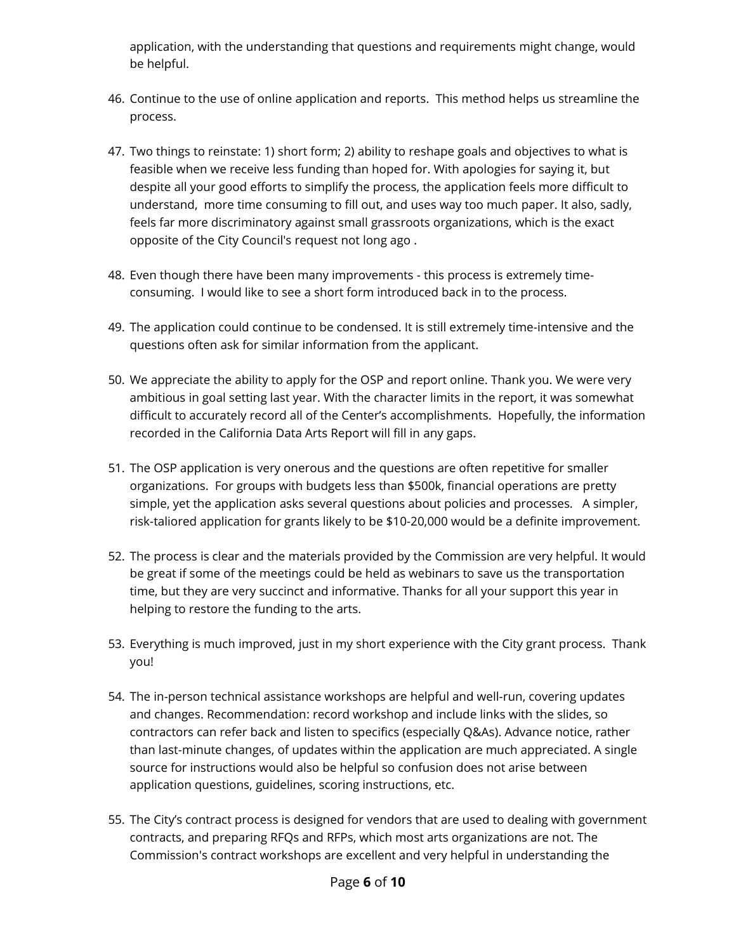application, with the understanding that questions and requirements might change, would be helpful.

- 46. Continue to the use of online application and reports. This method helps us streamline the process.
- 47. Two things to reinstate: 1) short form; 2) ability to reshape goals and objectives to what is feasible when we receive less funding than hoped for. With apologies for saying it, but despite all your good efforts to simplify the process, the application feels more difficult to understand, more time consuming to fill out, and uses way too much paper. It also, sadly, feels far more discriminatory against small grassroots organizations, which is the exact opposite of the City Council's request not long ago .
- 48. Even though there have been many improvements this process is extremely timeconsuming. I would like to see a short form introduced back in to the process.
- 49. The application could continue to be condensed. It is still extremely time-intensive and the questions often ask for similar information from the applicant.
- 50. We appreciate the ability to apply for the OSP and report online. Thank you. We were very ambitious in goal setting last year. With the character limits in the report, it was somewhat difficult to accurately record all of the Center's accomplishments. Hopefully, the information recorded in the California Data Arts Report will fill in any gaps.
- 51. The OSP application is very onerous and the questions are often repetitive for smaller organizations. For groups with budgets less than \$500k, financial operations are pretty simple, yet the application asks several questions about policies and processes. A simpler, risk-taliored application for grants likely to be \$10-20,000 would be a definite improvement.
- 52. The process is clear and the materials provided by the Commission are very helpful. It would be great if some of the meetings could be held as webinars to save us the transportation time, but they are very succinct and informative. Thanks for all your support this year in helping to restore the funding to the arts.
- 53. Everything is much improved, just in my short experience with the City grant process. Thank you!
- 54. The in-person technical assistance workshops are helpful and well-run, covering updates and changes. Recommendation: record workshop and include links with the slides, so contractors can refer back and listen to specifics (especially Q&As). Advance notice, rather than last-minute changes, of updates within the application are much appreciated. A single source for instructions would also be helpful so confusion does not arise between application questions, guidelines, scoring instructions, etc.
- 55. The City's contract process is designed for vendors that are used to dealing with government contracts, and preparing RFQs and RFPs, which most arts organizations are not. The Commission's contract workshops are excellent and very helpful in understanding the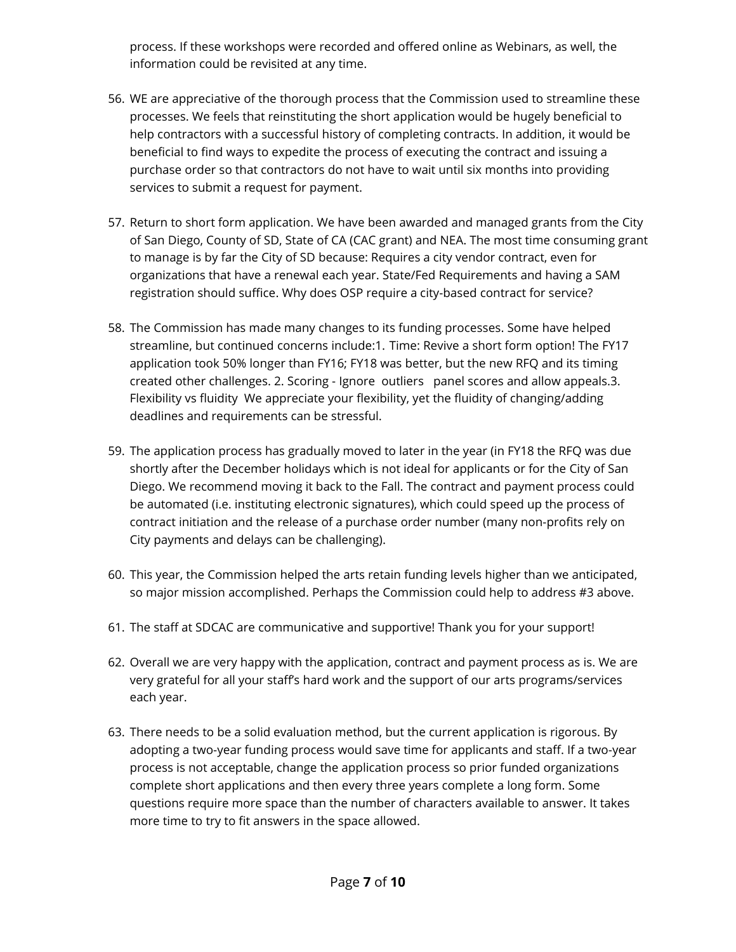process. If these workshops were recorded and offered online as Webinars, as well, the information could be revisited at any time.

- 56. WE are appreciative of the thorough process that the Commission used to streamline these processes. We feels that reinstituting the short application would be hugely beneficial to help contractors with a successful history of completing contracts. In addition, it would be beneficial to find ways to expedite the process of executing the contract and issuing a purchase order so that contractors do not have to wait until six months into providing services to submit a request for payment.
- 57. Return to short form application. We have been awarded and managed grants from the City of San Diego, County of SD, State of CA (CAC grant) and NEA. The most time consuming grant to manage is by far the City of SD because: Requires a city vendor contract, even for organizations that have a renewal each year. State/Fed Requirements and having a SAM registration should suffice. Why does OSP require a city-based contract for service?
- 58. The Commission has made many changes to its funding processes. Some have helped streamline, but continued concerns include:1. Time: Revive a short form option! The FY17 application took 50% longer than FY16; FY18 was better, but the new RFQ and its timing created other challenges. 2. Scoring - Ignore outliers panel scores and allow appeals.3. Flexibility vs fluidity We appreciate your flexibility, yet the fluidity of changing/adding deadlines and requirements can be stressful.
- 59. The application process has gradually moved to later in the year (in FY18 the RFQ was due shortly after the December holidays which is not ideal for applicants or for the City of San Diego. We recommend moving it back to the Fall. The contract and payment process could be automated (i.e. instituting electronic signatures), which could speed up the process of contract initiation and the release of a purchase order number (many non-profits rely on City payments and delays can be challenging).
- 60. This year, the Commission helped the arts retain funding levels higher than we anticipated, so major mission accomplished. Perhaps the Commission could help to address #3 above.
- 61. The staff at SDCAC are communicative and supportive! Thank you for your support!
- 62. Overall we are very happy with the application, contract and payment process as is. We are very grateful for all your staff's hard work and the support of our arts programs/services each year.
- 63. There needs to be a solid evaluation method, but the current application is rigorous. By adopting a two-year funding process would save time for applicants and staff. If a two-year process is not acceptable, change the application process so prior funded organizations complete short applications and then every three years complete a long form. Some questions require more space than the number of characters available to answer. It takes more time to try to fit answers in the space allowed.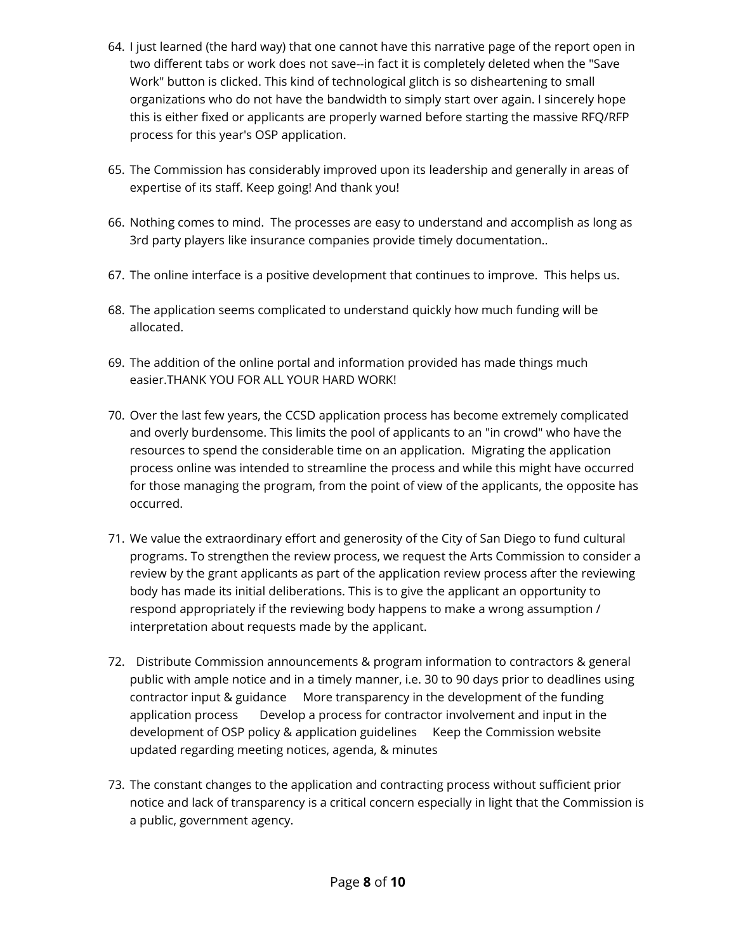- 64. I just learned (the hard way) that one cannot have this narrative page of the report open in two different tabs or work does not save--in fact it is completely deleted when the "Save Work" button is clicked. This kind of technological glitch is so disheartening to small organizations who do not have the bandwidth to simply start over again. I sincerely hope this is either fixed or applicants are properly warned before starting the massive RFQ/RFP process for this year's OSP application.
- 65. The Commission has considerably improved upon its leadership and generally in areas of expertise of its staff. Keep going! And thank you!
- 66. Nothing comes to mind. The processes are easy to understand and accomplish as long as 3rd party players like insurance companies provide timely documentation..
- 67. The online interface is a positive development that continues to improve. This helps us.
- 68. The application seems complicated to understand quickly how much funding will be allocated.
- 69. The addition of the online portal and information provided has made things much easier.THANK YOU FOR ALL YOUR HARD WORK!
- 70. Over the last few years, the CCSD application process has become extremely complicated and overly burdensome. This limits the pool of applicants to an "in crowd" who have the resources to spend the considerable time on an application. Migrating the application process online was intended to streamline the process and while this might have occurred for those managing the program, from the point of view of the applicants, the opposite has occurred.
- 71. We value the extraordinary effort and generosity of the City of San Diego to fund cultural programs. To strengthen the review process, we request the Arts Commission to consider a review by the grant applicants as part of the application review process after the reviewing body has made its initial deliberations. This is to give the applicant an opportunity to respond appropriately if the reviewing body happens to make a wrong assumption / interpretation about requests made by the applicant.
- 72. Distribute Commission announcements & program information to contractors & general public with ample notice and in a timely manner, i.e. 30 to 90 days prior to deadlines using contractor input & guidance More transparency in the development of the funding application process Develop a process for contractor involvement and input in the development of OSP policy & application guidelines Keep the Commission website updated regarding meeting notices, agenda, & minutes
- 73. The constant changes to the application and contracting process without sufficient prior notice and lack of transparency is a critical concern especially in light that the Commission is a public, government agency.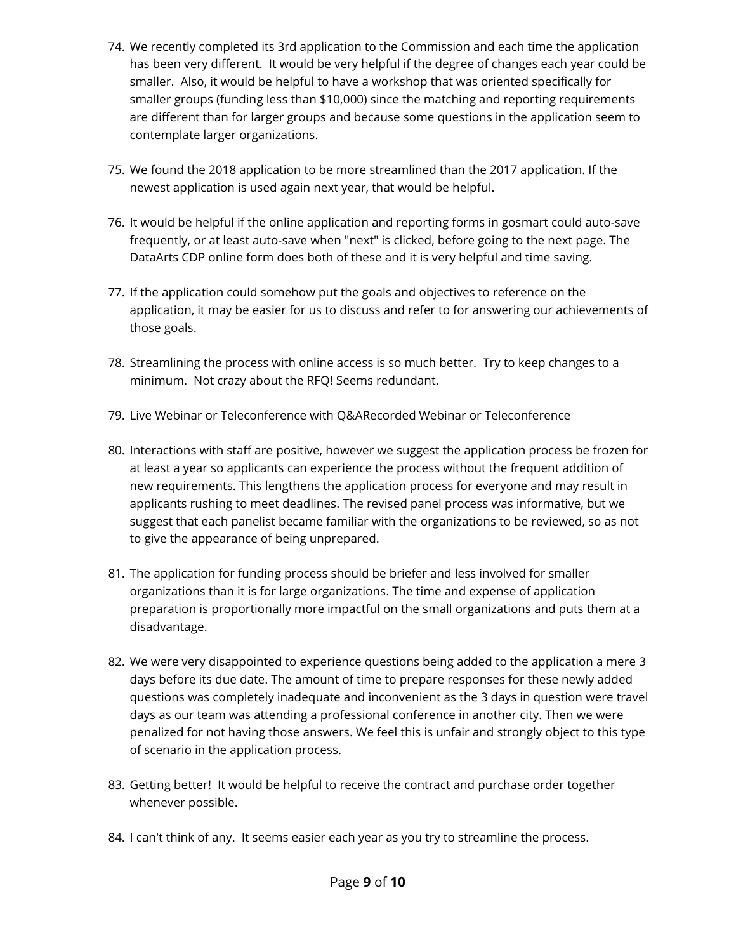- 74. We recently completed its 3rd application to the Commission and each time the application has been very different. It would be very helpful if the degree of changes each year could be smaller. Also, it would be helpful to have a workshop that was oriented specifically for smaller groups (funding less than \$10,000) since the matching and reporting requirements are different than for larger groups and because some questions in the application seem to contemplate larger organizations.
- 75. We found the 2018 application to be more streamlined than the 2017 application. If the newest application is used again next year, that would be helpful.
- 76. It would be helpful if the online application and reporting forms in gosmart could auto-save frequently, or at least auto-save when "next" is clicked, before going to the next page. The DataArts CDP online form does both of these and it is very helpful and time saving.
- 77. If the application could somehow put the goals and objectives to reference on the application, it may be easier for us to discuss and refer to for answering our achievements of those goals.
- 78. Streamlining the process with online access is so much better. Try to keep changes to a minimum. Not crazy about the RFQ! Seems redundant.
- 79. Live Webinar or Teleconference with Q&ARecorded Webinar or Teleconference
- 80. Interactions with staff are positive, however we suggest the application process be frozen for at least a year so applicants can experience the process without the frequent addition of new requirements. This lengthens the application process for everyone and may result in applicants rushing to meet deadlines. The revised panel process was informative, but we suggest that each panelist became familiar with the organizations to be reviewed, so as not to give the appearance of being unprepared.
- 81. The application for funding process should be briefer and less involved for smaller organizations than it is for large organizations. The time and expense of application preparation is proportionally more impactful on the small organizations and puts them at a disadvantage.
- 82. We were very disappointed to experience questions being added to the application a mere 3 days before its due date. The amount of time to prepare responses for these newly added questions was completely inadequate and inconvenient as the 3 days in question were travel days as our team was attending a professional conference in another city. Then we were penalized for not having those answers. We feel this is unfair and strongly object to this type of scenario in the application process.
- 83. Getting better! It would be helpful to receive the contract and purchase order together whenever possible.
- 84. I can't think of any. It seems easier each year as you try to streamline the process.